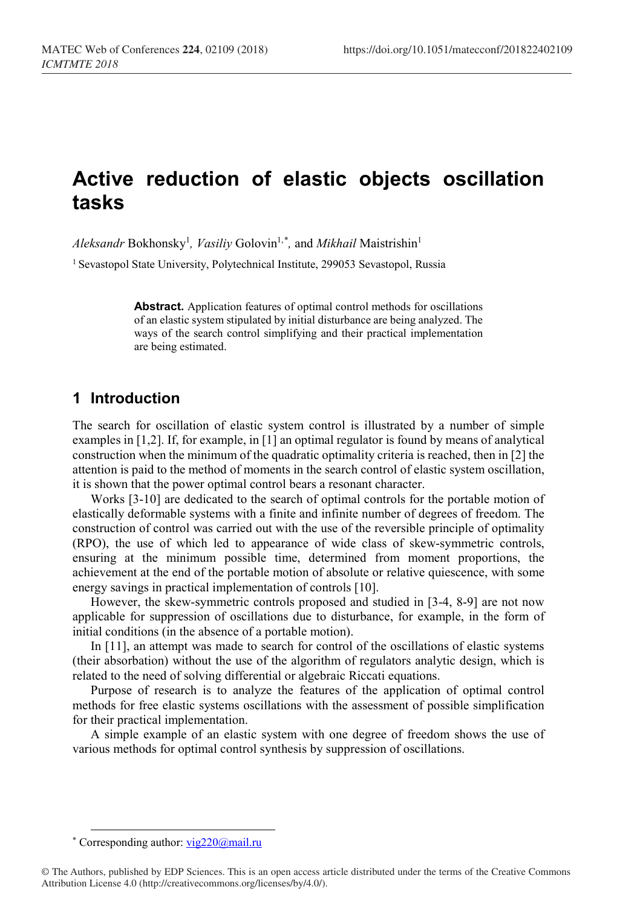# **Active reduction of elastic objects oscillation tasks**

 $A$ *leksandr* Bokhonsky<sup>1</sup>, *Vasiliy* Golovin<sup>1,[\\*](#page-0-0)</sup>, and *Mikhail* Maistrishin<sup>1</sup>

<sup>1</sup> Sevastopol State University, Polytechnical Institute, 299053 Sevastopol, Russia

**Abstract.** Application features of optimal control methods for oscillations of an elastic system stipulated by initial disturbance are being analyzed. The ways of the search control simplifying and their practical implementation are being estimated.

# **1 Introduction**

The search for oscillation of elastic system control is illustrated by a number of simple examples in [1,2]. If, for example, in [1] an optimal regulator is found by means of analytical construction when the minimum of the quadratic optimality criteria is reached, then in [2] the attention is paid to the method of moments in the search control of elastic system oscillation, it is shown that the power optimal control bears a resonant character.

Works [3-10] are dedicated to the search of optimal controls for the portable motion of elastically deformable systems with a finite and infinite number of degrees of freedom. The construction of control was carried out with the use of the reversible principle of optimality (RPO), the use of which led to appearance of wide class of skew-symmetric controls, ensuring at the minimum possible time, determined from moment proportions, the achievement at the end of the portable motion of absolute or relative quiescence, with some energy savings in practical implementation of controls [10].

However, the skew-symmetric controls proposed and studied in [3-4, 8-9] are not now applicable for suppression of oscillations due to disturbance, for example, in the form of initial conditions (in the absence of a portable motion).

In [11], an attempt was made to search for control of the oscillations of elastic systems (their absorbation) without the use of the algorithm of regulators analytic design, which is related to the need of solving differential or algebraic Riccati equations.

Purpose of research is to analyze the features of the application of optimal control methods for free elastic systems oscillations with the assessment of possible simplification for their practical implementation.

A simple example of an elastic system with one degree of freedom shows the use of various methods for optimal control synthesis by suppression of oscillations.

 <sup>\*</sup> Corresponding author[: vig220@mail.ru](mailto:vig220@mail.ru)

<span id="page-0-0"></span><sup>©</sup> The Authors, published by EDP Sciences. This is an open access article distributed under the terms of the Creative Commons Attribution License 4.0 (http://creativecommons.org/licenses/by/4.0/).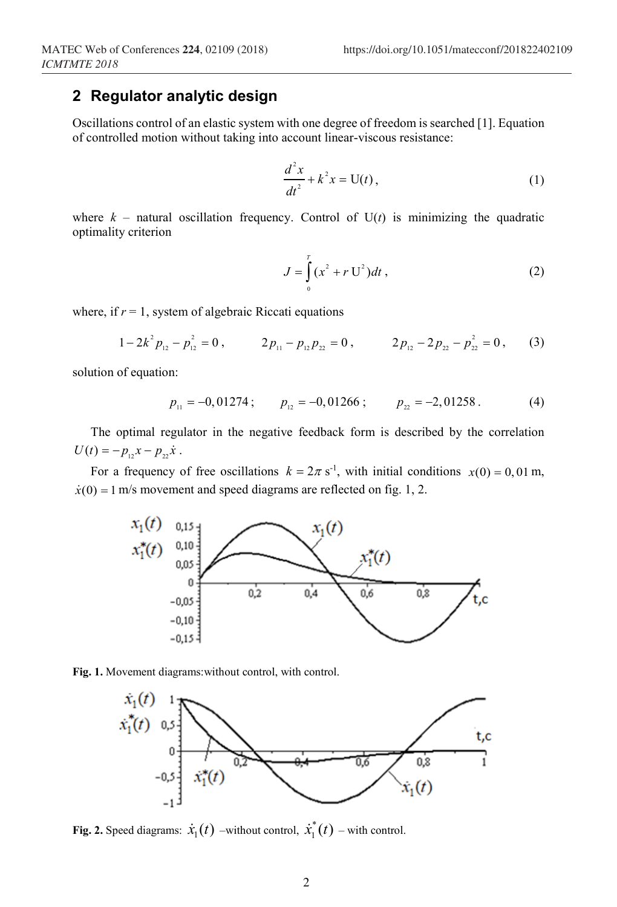# **2 Regulator analytic design**

Oscillations control of an elastic system with one degree of freedom is searched [1]. Equation of controlled motion without taking into account linear-viscous resistance:

$$
\frac{d^2x}{dt^2} + k^2x = U(t),
$$
 (1)

where  $k$  – natural oscillation frequency. Control of  $U(t)$  is minimizing the quadratic optimality criterion

$$
J = \int_{0}^{T} (x^2 + r U^2) dt,
$$
 (2)

where, if  $r = 1$ , system of algebraic Riccati equations

$$
1-2k^2 p_{12}-p_{12}^2=0\,,\qquad 2p_{11}-p_{12}p_{22}=0\,,\qquad 2p_{12}-2p_{22}-p_{22}^2=0\,,\qquad (3)
$$

solution of equation:

$$
p_{11} = -0.01274 \, ; \qquad p_{12} = -0.01266 \, ; \qquad p_{22} = -2.01258 \, . \tag{4}
$$

The optimal regulator in the negative feedback form is described by the correlation  $U(t) = -p_{12}x - p_{22}\dot{x}$ .

For a frequency of free oscillations  $k = 2\pi s^{-1}$ , with initial conditions  $x(0) = 0, 01$  m,  $\dot{x}(0) = 1$  m/s movement and speed diagrams are reflected on fig. 1, 2.







**Fig. 2.** Speed diagrams:  $\dot{x}_1(t)$  –without control,  $\dot{x}_1^*(t)$  – with control.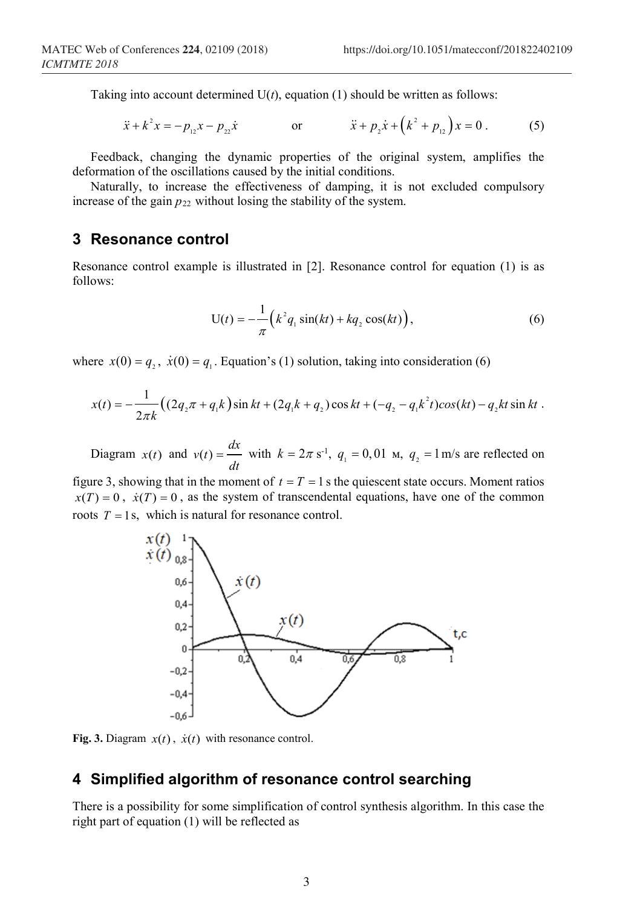Taking into account determined  $U(t)$ , equation (1) should be written as follows:

$$
\ddot{x} + k^2 x = -p_{12}x - p_{22}\dot{x} \qquad \text{or} \qquad \ddot{x} + p_2 \dot{x} + (k^2 + p_{12})x = 0. \qquad (5)
$$

Feedback, changing the dynamic properties of the original system, amplifies the deformation of the oscillations caused by the initial conditions.

Naturally, to increase the effectiveness of damping, it is not excluded compulsory increase of the gain  $p_{22}$  without losing the stability of the system.

#### **3 Resonance control**

Resonance control example is illustrated in [2]. Resonance control for equation (1) is as follows:

$$
U(t) = -\frac{1}{\pi} \left( k^2 q_1 \sin(kt) + k q_2 \cos(kt) \right),
$$
 (6)

where  $x(0) = q_1$ ,  $\dot{x}(0) = q_1$ . Equation's (1) solution, taking into consideration (6)

$$
x(t) = -\frac{1}{2\pi k} \Big( \left( 2q_2 \pi + q_1 k \right) \sin kt + \left( 2q_1 k + q_2 \right) \cos kt + \left( -q_2 - q_1 k^2 t \right) \cos(kt) - q_2 kt \sin kt \; .
$$

Diagram  $x(t)$  and  $v(t) = \frac{dx}{dt}$  with  $k = 2\pi s^{-1}$ ,  $q_1 = 0.01$  m,  $q_2 = 1$  m/s are reflected on

figure 3, showing that in the moment of  $t = T = 1$  s the quiescent state occurs. Moment ratios  $x(T) = 0$ ,  $\dot{x}(T) = 0$ , as the system of transcendental equations, have one of the common roots  $T = 1$  s, which is natural for resonance control.



**Fig. 3.** Diagram  $x(t)$ ,  $\dot{x}(t)$  with resonance control.

# **4 Simplified algorithm of resonance control searching**

There is a possibility for some simplification of control synthesis algorithm. In this case the right part of equation (1) will be reflected as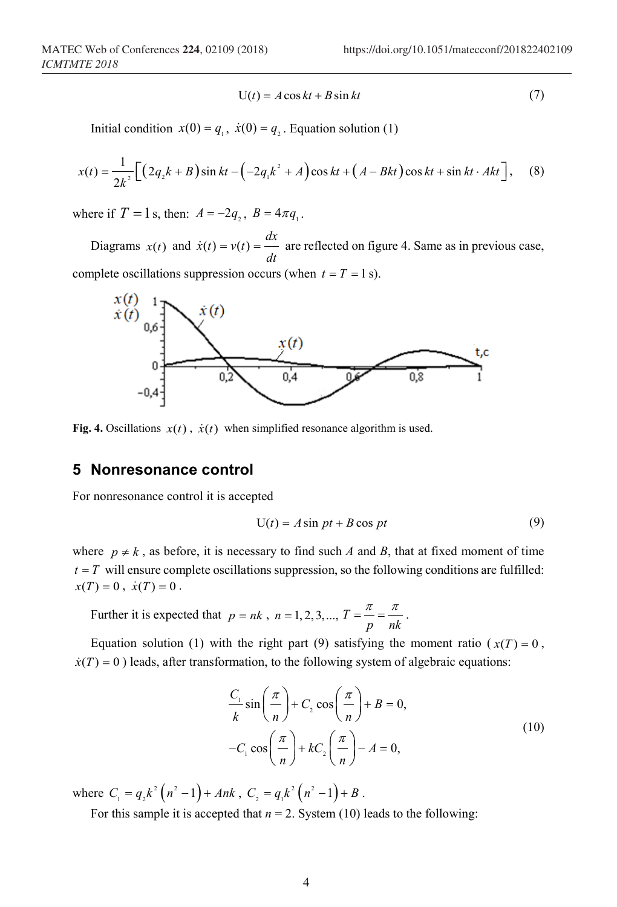$$
U(t) = A\cos kt + B\sin kt \tag{7}
$$

Initial condition  $x(0) = q_1$ ,  $\dot{x}(0) = q_2$ . Equation solution (1)

$$
x(t) = \frac{1}{2k^2} \Big[ \Big( 2q_2k + B \Big) \sin kt - \Big( -2q_1k^2 + A \Big) \cos kt + \Big( A - Bkt \Big) \cos kt + \sin kt \cdot Ak \Big], \quad (8)
$$

where if  $T = 1$  s, then:  $A = -2q_1$ ,  $B = 4\pi q_1$ .

Diagrams  $x(t)$  and  $\dot{x}(t) = v(t) = \frac{dx}{dt}$ *dt*  $\dot{x}(t) = v(t) = \frac{dv}{dt}$  are reflected on figure 4. Same as in previous case, complete oscillations suppression occurs (when  $t = T = 1$  s).



**Fig. 4.** Oscillations  $x(t)$ ,  $\dot{x}(t)$  when simplified resonance algorithm is used.

#### **5 Nonresonance control**

For nonresonance control it is accepted

$$
U(t) = A \sin pt + B \cos pt \tag{9}
$$

where  $p \neq k$ , as before, it is necessary to find such *A* and *B*, that at fixed moment of time  $t = T$  will ensure complete oscillations suppression, so the following conditions are fulfilled:  $x(T) = 0, \dot{x}(T) = 0.$ 

Further it is expected that  $p = nk$ ,  $n = 1, 2, 3, ..., T = \frac{n}{p} = \frac{n}{nk}$  $=\frac{\pi}{\pi}=\frac{\pi}{\pi}$ .

Equation solution (1) with the right part (9) satisfying the moment ratio ( $x(T) = 0$ ,  $\dot{x}(T) = 0$ ) leads, after transformation, to the following system of algebraic equations:

$$
\frac{C_1}{k}\sin\left(\frac{\pi}{n}\right) + C_2\cos\left(\frac{\pi}{n}\right) + B = 0,
$$
  
-C<sub>1</sub> cos $\left(\frac{\pi}{n}\right)$  +  $kC_2\left(\frac{\pi}{n}\right)$  -  $A = 0$ , (10)

where  $C_1 = q_2 k^2 (n^2 - 1) + Ank$ ,  $C_2 = q_1 k^2 (n^2 - 1) + B$ .

For this sample it is accepted that  $n = 2$ . System (10) leads to the following: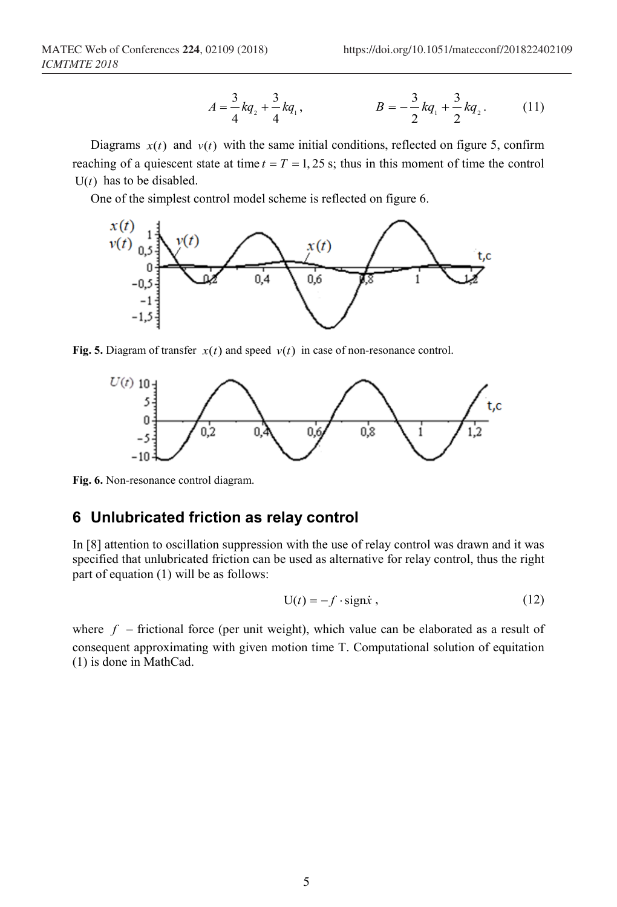$$
A = \frac{3}{4}kq_2 + \frac{3}{4}kq_1, \qquad B = -\frac{3}{2}kq_1 + \frac{3}{2}kq_2. \qquad (11)
$$

Diagrams  $x(t)$  and  $v(t)$  with the same initial conditions, reflected on figure 5, confirm reaching of a quiescent state at time  $t = T = 1, 25$  s; thus in this moment of time the control  $U(t)$  has to be disabled.

One of the simplest control model scheme is reflected on figure 6.



**Fig. 5.** Diagram of transfer  $x(t)$  and speed  $v(t)$  in case of non-resonance control.



**Fig. 6.** Non-resonance control diagram.

# **6 Unlubricated friction as relay control**

In [8] attention to oscillation suppression with the use of relay control was drawn and it was specified that unlubricated friction can be used as alternative for relay control, thus the right part of equation (1) will be as follows:

$$
U(t) = -f \cdot sign\dot{x} , \qquad (12)
$$

where  $f$  – frictional force (per unit weight), which value can be elaborated as a result of consequent approximating with given motion time T. Computational solution of equitation (1) is done in MathCad.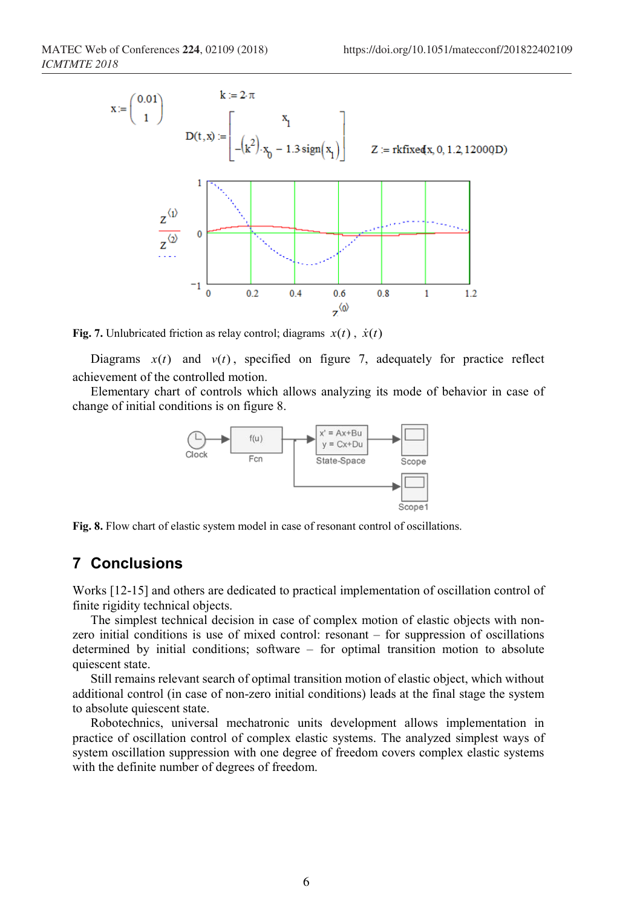

**Fig.** 7. Unlubricated friction as relay control; diagrams  $x(t)$ ,  $\dot{x}(t)$ 

Diagrams  $x(t)$  and  $v(t)$ , specified on figure 7, adequately for practice reflect achievement of the controlled motion.

Elementary chart of controls which allows analyzing its mode of behavior in case of change of initial conditions is on figure 8.



**Fig. 8.** Flow chart of elastic system model in case of resonant control of oscillations.

### **7 Conclusions**

Works [12-15] and others are dedicated to practical implementation of oscillation control of finite rigidity technical objects.

The simplest technical decision in case of complex motion of elastic objects with nonzero initial conditions is use of mixed control: resonant – for suppression of oscillations determined by initial conditions; software – for optimal transition motion to absolute quiescent state.

Still remains relevant search of optimal transition motion of elastic object, which without additional control (in case of non-zero initial conditions) leads at the final stage the system to absolute quiescent state.

Robotechnics, universal mechatronic units development allows implementation in practice of oscillation control of complex elastic systems. The analyzed simplest ways of system oscillation suppression with one degree of freedom covers complex elastic systems with the definite number of degrees of freedom.